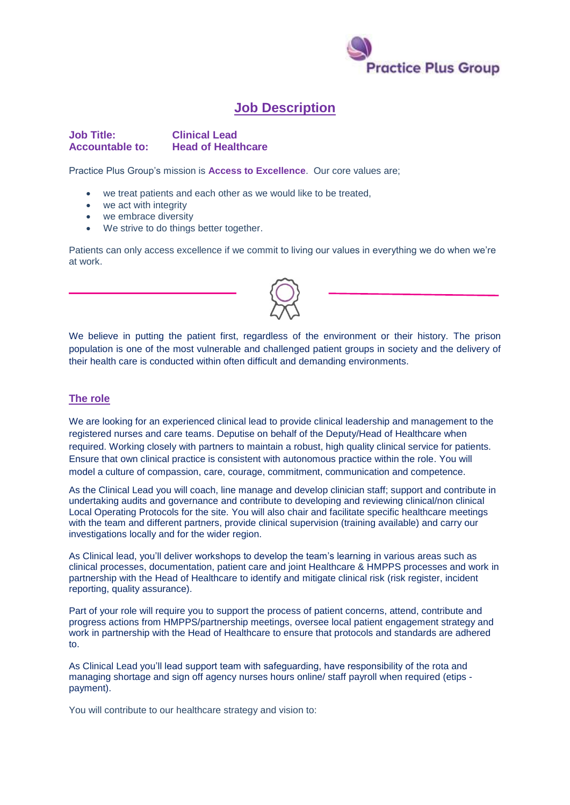

## **Job Description**

**Job Title: Clinical Lead Accountable to: Head of Healthcare** 

Practice Plus Group's mission is **Access to Excellence**. Our core values are;

- we treat patients and each other as we would like to be treated,
- we act with integrity
- we embrace diversity
- We strive to do things better together.

Patients can only access excellence if we commit to living our values in everything we do when we're at work.

We believe in putting the patient first, regardless of the environment or their history. The prison population is one of the most vulnerable and challenged patient groups in society and the delivery of their health care is conducted within often difficult and demanding environments.

## **The role**

We are looking for an experienced clinical lead to provide clinical leadership and management to the registered nurses and care teams. Deputise on behalf of the Deputy/Head of Healthcare when required. Working closely with partners to maintain a robust, high quality clinical service for patients. Ensure that own clinical practice is consistent with autonomous practice within the role. You will model a culture of compassion, care, courage, commitment, communication and competence.

As the Clinical Lead you will coach, line manage and develop clinician staff; support and contribute in undertaking audits and governance and contribute to developing and reviewing clinical/non clinical Local Operating Protocols for the site. You will also chair and facilitate specific healthcare meetings with the team and different partners, provide clinical supervision (training available) and carry our investigations locally and for the wider region.

As Clinical lead, you'll deliver workshops to develop the team's learning in various areas such as clinical processes, documentation, patient care and joint Healthcare & HMPPS processes and work in partnership with the Head of Healthcare to identify and mitigate clinical risk (risk register, incident reporting, quality assurance).

Part of your role will require you to support the process of patient concerns, attend, contribute and progress actions from HMPPS/partnership meetings, oversee local patient engagement strategy and work in partnership with the Head of Healthcare to ensure that protocols and standards are adhered to.

As Clinical Lead you'll lead support team with safeguarding, have responsibility of the rota and managing shortage and sign off agency nurses hours online/ staff payroll when required (etips payment).

You will contribute to our healthcare strategy and vision to: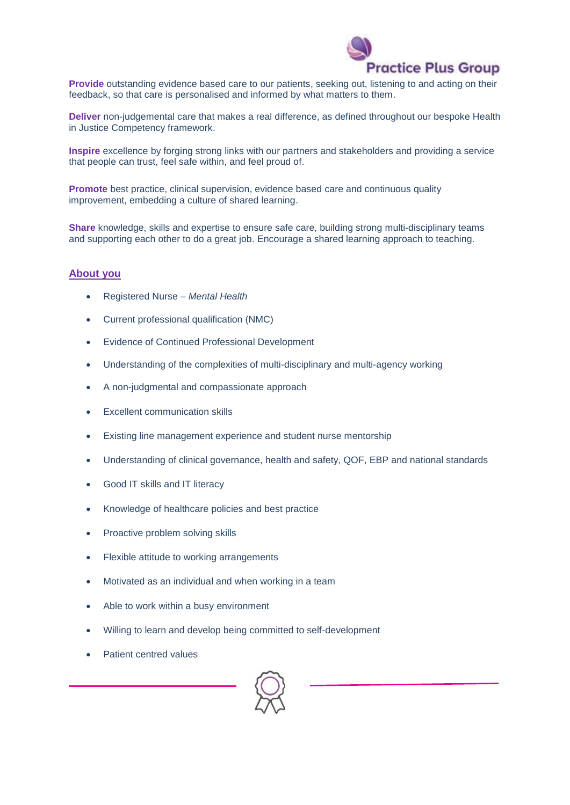

**Provide** outstanding evidence based care to our patients, seeking out, listening to and acting on their feedback, so that care is personalised and informed by what matters to them.

**Deliver** non-judgemental care that makes a real difference, as defined throughout our bespoke Health in Justice Competency framework.

**Inspire** excellence by forging strong links with our partners and stakeholders and providing a service that people can trust, feel safe within, and feel proud of.

**Promote** best practice, clinical supervision, evidence based care and continuous quality improvement, embedding a culture of shared learning.

**Share** knowledge, skills and expertise to ensure safe care, building strong multi-disciplinary teams and supporting each other to do a great job. Encourage a shared learning approach to teaching.

## **About you**

- Registered Nurse *Mental Health*
- Current professional qualification (NMC)
- Evidence of Continued Professional Development
- Understanding of the complexities of multi-disciplinary and multi-agency working
- A non-judgmental and compassionate approach
- Excellent communication skills
- Existing line management experience and student nurse mentorship
- Understanding of clinical governance, health and safety, QOF, EBP and national standards
- Good IT skills and IT literacy
- Knowledge of healthcare policies and best practice
- Proactive problem solving skills
- Flexible attitude to working arrangements
- Motivated as an individual and when working in a team
- Able to work within a busy environment
- Willing to learn and develop being committed to self-development
- Patient centred values